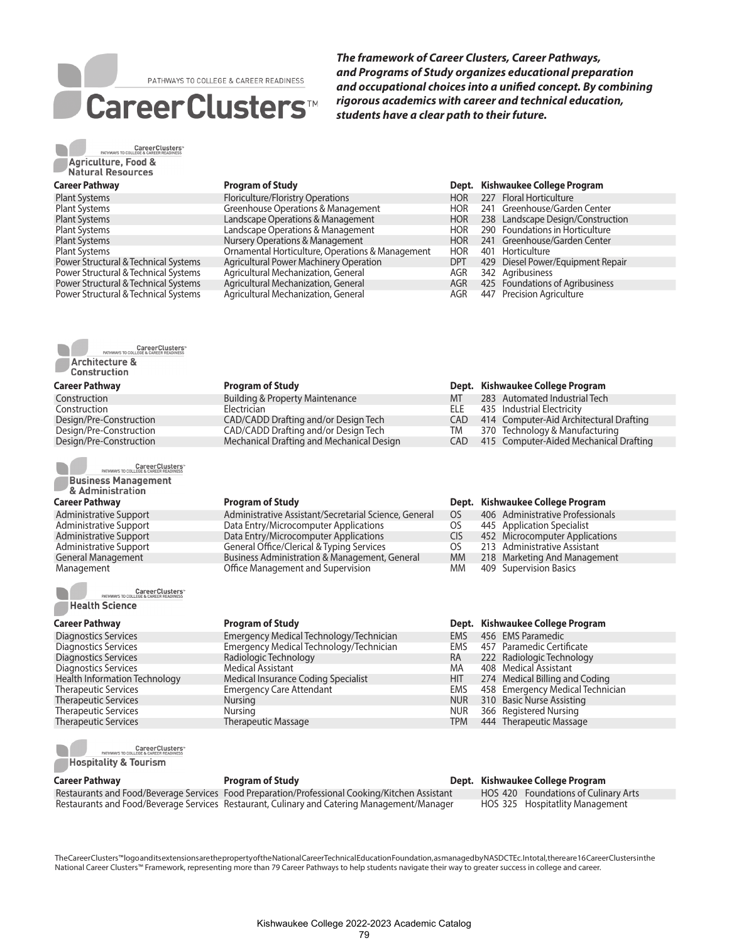# PATHWAYS TO COLLEGE & CAREER READINESS CareerClusters™

*The framework of Career Clusters, Career Pathways, and Programs of Study organizes educational preparation and occupational choices into a unified concept. By combining rigorous academics with career and technical education, students have a clear path to their future.* 

Poriculture/Floristry Operations Floriculture HOR 227 Floral Horticulture<br>
Greenhouse Operations & Management HOR 241 Greenhouse/Garden Center

Landscape Operations & Management **HOR 238** Landscape Design/Construction Landscape Operations & Management **HOR 290** Foundations in Horticulture<br>
Nursery Operations & Management **HOR 241** Greenhouse/Garden Center Nursery Operations & Management **HOR** 241 Greenhouse/Garden Center

Agricultural Power Machinery Operation **DET** 429 Diesel Power/Equipment Repair

|                          |  | <b>CareerClusters</b><br>PATHWAYS TO COLLEGE & CAREER READINESS |  |
|--------------------------|--|-----------------------------------------------------------------|--|
| Agriculture, Food &      |  |                                                                 |  |
| <b>Natural Resources</b> |  |                                                                 |  |

### **Career Pathway Program of Study Dept. Kishwaukee College Program**

| <b>Plant Systems</b>                 |
|--------------------------------------|
| <b>Plant Systems</b>                 |
| <b>Plant Systems</b>                 |
| <b>Plant Systems</b>                 |
| <b>Plant Systems</b>                 |
| <b>Plant Systems</b>                 |
| Power Structural & Technical Systems |
| Power Structural & Technical Systems |
| Power Structural & Technical Systems |
| Power Structural & Technical Systems |



**Construction** 

### **Career Pathway Program of Study**

Construction Building & Property Maintenance<br>
Construction Electrician Design/Pre-Construction CAD/CADD Drafting and/or Design Tech Design Tech CAD/CADD Drafting and/or Design Tech

CareerClusters<sup>\*</sup><br>PATHWAYS TO COLLEGE & CAREER READINESS **Business Management** 

& Administration

### **Career Pathway Program of Study**

Administrative Support Administrative Administrative Assistant/Secretarial Science, General OS 406 Administrative Professionals<br>Administrative Support Data Entry/Microcomputer Applications OS 445 Application Specialist Administrative Support **Support** Data Entry/Microcomputer Applications COS 445 Application Specialist<br>
Data Entry/Microcomputer Applications CIS 452 Microcomputer Applications CIS 452 Microcomputer Applications Administrative Support **General Office/Clerical & Typing Services** Cos 213 Administrative Assistant<br>General Management **General Constant Business Administration & Management**, General MM 218 Marketing And Management General Management **Business Administration & Management, General** MM 218 Marketing And Management<br>MM 409 Supervision Basics

**CareerClusters**<br>PATHWAYS TO COLLEGE & CAREER READINESS **Health Science** 

 Diagnostics Services Emergency Medical Technology/Technician EMS 457 Paramedic Certificate Therapeutic Services Nursing NUR 366 Registered Nursing Therapeutic Services Therapeutic Massage TPM 444 Therapeutic Massage

CareerClusters"<br>PATHWAYS TO COLLEGE & CAREER READINESS **Hospitality & Tourism** 

**Career Pathway Program of Study Dept. Kishwaukee College Program**

Restaurants and Food/Beverage Services Food Preparation/Professional Cooking/Kitchen Assistant HOS 420 Foundations of Culinary Arts<br>Restaurants and Food/Beverage Services Restaurant, Culinary and Catering Management/Manage Restaurants and Food/Beverage Services Restaurant, Culinary and Catering Management/Manager

The Career Clusters™ logo and its extensions are the property of the National Career Technical Education Foundation, as managed by NASDCTEc. In total, there are 16 Career Clusters in the National Career Clusters™ Framework, representing more than 79 Career Pathways to help students navigate their way to greater success in college and career.

| Agricultural Mechanization, General | AGR | 342 Agribusiness  |
|-------------------------------------|-----|-------------------|
| Agricultural Mechanization, General | AGR | 425 Foundations   |
| Agricultural Mechanization, General | AGR | 447 Precision Agr |
|                                     |     |                   |
|                                     |     |                   |
|                                     |     |                   |
|                                     |     |                   |
|                                     |     |                   |
|                                     |     |                   |
|                                     |     |                   |
|                                     |     |                   |
|                                     |     |                   |

Office Management and Supervision

Medical Insurance Coding Specialist

Greenhouse Operations & Management HOR 241

Ornamental Horticulture, Operations & Management HOR 401 Horticulture

| Career Pathway          | <b>Program of Study</b>                     |      | Dept. Kishwaukee College Program        |
|-------------------------|---------------------------------------------|------|-----------------------------------------|
| Construction            | <b>Building &amp; Property Maintenance</b>  | МT   | 283 Automated Industrial Tech           |
| Construction            | <b>Electrician</b>                          | FLF. | 435 Industrial Electricity              |
| Design/Pre-Construction | <b>CAD/CADD Drafting and/or Design Tech</b> | CAD. | 414 Computer-Aid Architectural Drafting |
| Design/Pre-Construction | CAD/CADD Drafting and/or Design Tech        | TM   | 370 Technology & Manufacturing          |
|                         | .                                           |      |                                         |

AGR 425 Foundations of Agribusiness AGR 447 Precision Agriculture

Design/Pre-Construction Mechanical Drafting and Mechanical Design CAD 415 Computer-Aided Mechanical Drafting

|  | Dept. Kishwaukee College Program |
|--|----------------------------------|
|--|----------------------------------|

- 
- 
- Data Entry/Microcomputer Applications CIS 452 Microcomputer Applications CIS 452 Microcomputer Applications CIS 452 Microcomputer Applications CIS 452 Microcomputer Applications CIS 452 Microcomputer Applications CIS 452 M
	-
	-
	-

### **Career Pathway Program of Study Dept. Kishwaukee College Program**

- Diagnostics Services **Emergency Medical Technology/Technician** EMS 456 EMS Paramedic<br>Diagnostics Services **Emergency Medical Technology/Technician** EMS 457 Paramedic Certificate 222 Radiologic Technology Diagnostics Services<br>
Health Information Technology Medical Insurance Coding Specialist Marting 274 Medical Billing and Coding Therapeutic Services **Emergency Care Attendant** EMS 458 Emergency Medical Technician<br>
Therapeutic Services Nursing Nursing **EMS** Nursing NUR 310 Basic Nurse Assisting Therapeutic Services Nursing Nursing Nursing Nursing Nursing Nursing Nursing Nursing Nursing Nursing Nursing Nursing Nursing Nursing Nursing Nursing Nursing Nursing Nursing Nursing Nursing Nursing Nursing Nursing Nursing N
	-
	-